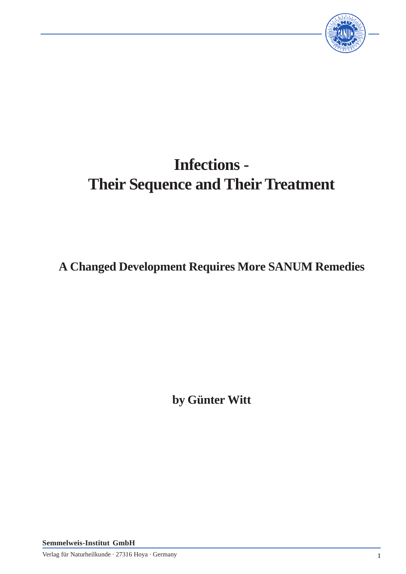

# **Infections - Their Sequence and Their Treatment**

**A Changed Development Requires More SANUM Remedies**

**by Günter Witt**

**Semmelweis-Institut GmbH**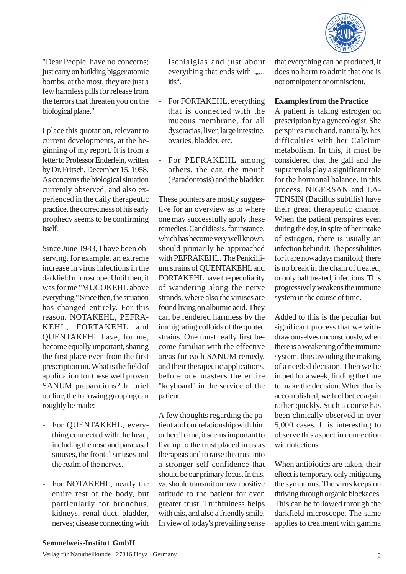

"Dear People, have no concerns; just carry on building bigger atomic bombs; at the most, they are just a few harmless pills for release from the terrors that threaten you on the biological plane."

I place this quotation, relevant to current developments, at the beginning of my report. It is from a letter to Professor Enderlein, written by Dr. Fritsch, December 15, 1958. As concerns the biological situation currently observed, and also experienced in the daily therapeutic practice, the correctness of his early prophecy seems to be confirming itself.

Since June 1983, I have been observing, for example, an extreme increase in virus infections in the darkfield microscope. Until then, it was for me "MUCOKEHL above everything." Since then, the situation has changed entirely. For this reason, NOTAKEHL, PEFRA-KEHL, FORTAKEHL and QUENTAKEHL have, for me, become equally important, sharing the first place even from the first prescription on. What is the field of application for these well proven SANUM preparations? In brief outline, the following grouping can roughly be made:

- For QUENTAKEHL, everything connected with the head, including the nose and paranasal sinuses, the frontal sinuses and the realm of the nerves.
- For NOTAKEHL, nearly the entire rest of the body, but particularly for bronchus, kidneys, renal duct, bladder, nerves; disease connecting with

Ischialgias and just about everything that ends with .... itis".

- For FORTAKEHL, everything that is connected with the mucous membrane, for all dyscracias, liver, large intestine, ovaries, bladder, etc.
- For PEFRAKEHL among others, the ear, the mouth (Paradontosis) and the bladder.

These pointers are mostly suggestive for an overview as to where one may successfully apply these remedies. Candidiasis, for instance, which has become very well known, should primarily be approached with PEFRAKEHL. The Penicillium strains of QUENTAKEHL and FORTAKEHL have the peculiarity of wandering along the nerve strands, where also the viruses are found living on albumic acid. They can be rendered harmless by the immigrating colloids of the quoted strains. One must really first become familiar with the effective areas for each SANUM remedy, and their therapeutic applications, before one masters the entire "keyboard" in the service of the patient.

A few thoughts regarding the patient and our relationship with him or her: To me, it seems important to live up to the trust placed in us as therapists and to raise this trust into a stronger self confidence that should be our primary focus. In this, we should transmit our own positive attitude to the patient for even greater trust. Truthfulness helps with this, and also a friendly smile. In view of today's prevailing sense

that everything can be produced, it does no harm to admit that one is not omnipotent or omniscient.

#### **Examples from the Practice**

A patient is taking estrogen on prescription by a gynecologist. She perspires much and, naturally, has difficulties with her Calcium metabolism. In this, it must be considered that the gall and the suprarenals play a significant role for the hormonal balance. In this process, NIGERSAN and LA-TENSIN (Bacillus subtilis) have their great therapeutic chance. When the patient perspires even during the day, in spite of her intake of estrogen, there is usually an infection behind it. The possibilities for it are nowadays manifold; there is no break in the chain of treated, or only half treated, infections. This progressively weakens the immune system in the course of time.

Added to this is the peculiar but significant process that we withdraw ourselves unconsciously, when there is a weakening of the immune system, thus avoiding the making of a needed decision. Then we lie in bed for a week, finding the time to make the decision. When that is accomplished, we feel better again rather quickly. Such a course has been clinically observed in over 5,000 cases. It is interesting to observe this aspect in connection with infections.

When antibiotics are taken, their effect is temporary, only mitigating the symptoms. The virus keeps on thriving through organic blockades. This can be followed through the darkfield microscope. The same applies to treatment with gamma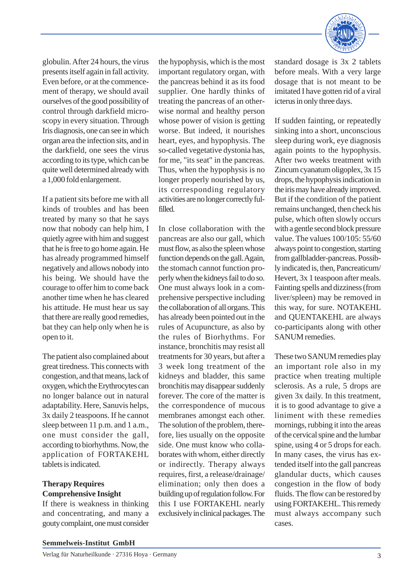

globulin. After 24 hours, the virus presents itself again in fall activity. Even before, or at the commencement of therapy, we should avail ourselves of the good possibility of control through darkfield microscopy in every situation. Through Iris diagnosis, one can see in which organ area the infection sits, and in the darkfield, one sees the virus according to its type, which can be quite well determined already with a 1,000 fold enlargement.

If a patient sits before me with all kinds of troubles and has been treated by many so that he says now that nobody can help him, I quietly agree with him and suggest that he is free to go home again. He has already programmed himself negatively and allows nobody into his being. We should have the courage to offer him to come back another time when he has cleared his attitude. He must hear us say that there are really good remedies, bat they can help only when he is open to it.

The patient also complained about great tiredness. This connects with congestion, and that means, lack of oxygen, which the Erythrocytes can no longer balance out in natural adaptability. Here, Sanuvis helps, 3x daily 2 teaspoons. If he cannot sleep between 11 p.m. and 1 a.m., one must consider the gall, according to biorhythms. Now, the application of FORTAKEHL tablets is indicated.

## **Therapy Requires Comprehensive Insight**

If there is weakness in thinking and concentrating, and many a gouty complaint, one must consider

the hypophysis, which is the most important regulatory organ, with the pancreas behind it as its food supplier. One hardly thinks of treating the pancreas of an otherwise normal and healthy person whose power of vision is getting worse. But indeed, it nourishes heart, eyes, and hypophysis. The so-called vegetative dystonia has, for me, "its seat" in the pancreas. Thus, when the hypophysis is no longer properly nourished by us, its corresponding regulatory activities are no longer correctly fulfilled.

In close collaboration with the pancreas are also our gall, which must flow, as also the spleen whose function depends on the gall. Again, the stomach cannot function properly when the kidneys fail to do so. One must always look in a comprehensive perspective including the collaboration of all organs. This has already been pointed out in the rules of Acupuncture, as also by the rules of Biorhythms. For instance, bronchitis may resist all treatments for 30 years, but after a 3 week long treatment of the kidneys and bladder, this same bronchitis may disappear suddenly forever. The core of the matter is the correspondence of mucous membranes amongst each other. The solution of the problem, therefore, lies usually on the opposite side. One must know who collaborates with whom, either directly or indirectly. Therapy always requires, first, a release/drainage/ elimination; only then does a building up of regulation follow. For this I use FORTAKEHL nearly exclusively in clinical packages. The

standard dosage is 3x 2 tablets before meals. With a very large dosage that is not meant to be imitated I have gotten rid of a viral icterus in only three days.

If sudden fainting, or repeatedly sinking into a short, unconscious sleep during work, eye diagnosis again points to the hypophysis. After two weeks treatment with Zincum cyanatum oligoplex, 3x 15 drops, the hypophysis indication in the iris may have already improved. But if the condition of the patient remains unchanged, then check his pulse, which often slowly occurs with a gentle second block pressure value. The values 100/105: 55/60 always point to congestion, starting from gallbladder-pancreas. Possibly indicated is, then, Pancreaticum/ Hevert, 3x 1 teaspoon after meals. Fainting spells and dizziness (from liver/spleen) may be removed in this way, for sure. NOTAKEHL and QUENTAKEHL are always co-participants along with other SANUM remedies.

These two SANUM remedies play an important role also in my practice when treating multiple sclerosis. As a rule, 5 drops are given 3x daily. In this treatment, it is to good advantage to give a liniment with these remedies mornings, rubbing it into the areas of the cervical spine and the lumbar spine, using 4 or 5 drops for each. In many cases, the virus has extended itself into the gall pancreas glandular ducts, which causes congestion in the flow of body fluids. The flow can be restored by using FORTAKEHL. This remedy must always accompany such cases.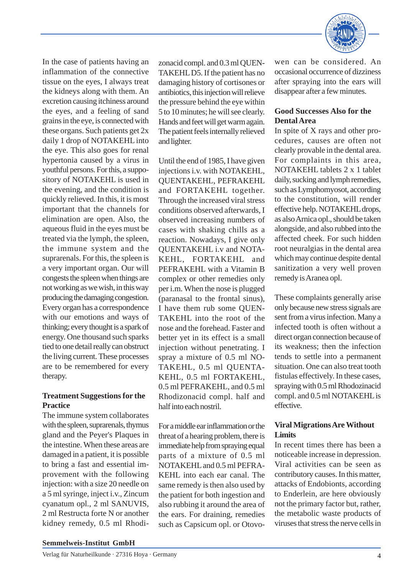

In the case of patients having an inflammation of the connective tissue on the eyes, I always treat the kidneys along with them. An excretion causing itchiness around the eyes, and a feeling of sand grains in the eye, is connected with these organs. Such patients get 2x daily 1 drop of NOTAKEHL into the eye. This also goes for renal hypertonia caused by a virus in youthful persons. For this, a suppository of NOTAKEHL is used in the evening, and the condition is quickly relieved. In this, it is most important that the channels for elimination are open. Also, the aqueous fluid in the eyes must be treated via the lymph, the spleen, the immune system and the suprarenals. For this, the spleen is a very important organ. Our will congests the spleen when things are not working as we wish, in this way producing the damaging congestion. Every organ has a correspondence with our emotions and ways of thinking; every thought is a spark of energy. One thousand such sparks tied to one detail really can obstruct the living current. These processes are to be remembered for every therapy.

#### **Treatment Suggestions for the Practice**

The immune system collaborates with the spleen, suprarenals, thymus gland and the Peyer's Plaques in the intestine. When these areas are damaged in a patient, it is possible to bring a fast and essential improvement with the following injection: with a size 20 needle on a 5 ml syringe, inject i.v., Zincum cyanatum opl., 2 ml SANUVIS, 2 ml Restructa forte N or another kidney remedy, 0.5 ml Rhodizonacid compl. and 0.3 ml QUEN-TAKEHL D5. If the patient has no damaging history of cortisones or antibiotics, this injection will relieve the pressure behind the eye within 5 to 10 minutes; he will see clearly. Hands and feet will get warm again. The patient feels internally relieved and lighter.

Until the end of 1985, I have given injections i.v. with NOTAKEHL, QUENTAKEHL, PEFRAKEHL and FORTAKEHL together. Through the increased viral stress conditions observed afterwards, I observed increasing numbers of cases with shaking chills as a reaction. Nowadays, I give only QUENTAKEHL i.v and NOTA-KEHL, FORTAKEHL and PEFRAKEHL with a Vitamin B complex or other remedies only per i.m. When the nose is plugged (paranasal to the frontal sinus), I have them rub some QUEN-TAKEHL into the root of the nose and the forehead. Faster and better yet in its effect is a small injection without penetrating. I spray a mixture of 0.5 ml NO-TAKEHL, 0.5 ml QUENTA-KEHL, 0.5 ml FORTAKEHL, 0.5 ml PEFRAKEHL, and 0.5 ml Rhodizonacid compl. half and half into each nostril.

For a middle ear inflammation or the threat of a hearing problem, there is immediate help from spraying equal parts of a mixture of 0.5 ml NOTAKEHL and 0.5 ml PEFRA-KEHL into each ear canal. The same remedy is then also used by the patient for both ingestion and also rubbing it around the area of the ears. For draining, remedies such as Capsicum opl. or Otovo-

wen can be considered. An occasional occurrence of dizziness after spraying into the ears will disappear after a few minutes.

# **Good Successes Also for the Dental Area**

In spite of X rays and other procedures, causes are often not clearly provable in the dental area. For complaints in this area, NOTAKEHL tablets 2 x 1 tablet daily, sucking and lymph remedies, such as Lymphomyosot, according to the constitution, will render effective help. NOTAKEHL drops, as also Arnica opl., should be taken alongside, and also rubbed into the affected cheek. For such hidden root neuralgias in the dental area which may continue despite dental sanitization a very well proven remedy is Aranea opl.

These complaints generally arise only because new stress signals are sent from a virus infection. Many a infected tooth is often without a direct organ connection because of its weakness; then the infection tends to settle into a permanent situation. One can also treat tooth fistulas effectively. In these cases, spraying with 0.5 ml Rhodozinacid compl. and 0.5 ml NOTAKEHL is effective.

## **Viral Migrations Are Without Limits**

In recent times there has been a noticeable increase in depression. Viral activities can be seen as contributory causes. In this matter, attacks of Endobionts, according to Enderlein, are here obviously not the primary factor but, rather, the metabolic waste products of viruses that stress the nerve cells in